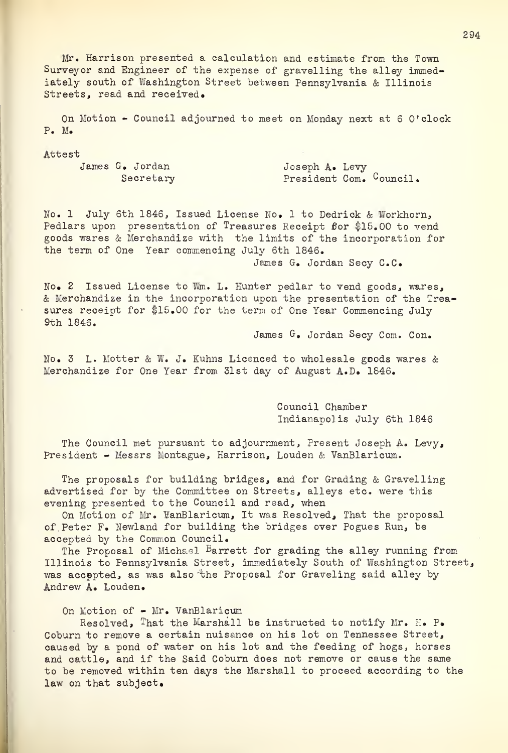Mr. Harrison presented a calculation and estimate from the Town Survey or and Engineer of the expense of gravelling the alley immediately south of Washington Street between Pennsylvania & Illinois Streets, read and received.

On Motion - Council adjourned to meet on Monday next at 6 O'clock P. M.

## Attest

James G. Jordan Joseph A. Levy Secretary President Com. Council.

No. 1 July 6th 1846, Issued License No. <sup>1</sup> to Dedrick & Workhorn, Pedlars upon presentation of Treasures Receipt for \$15.00 to vend goods wares & Merchandize with the limits of the incorporation for the term of One Year commencing July 6th 1846.

James G. Jordan Secy C.C.

No. 2 Issued License to Wm. L. Hunter pedlar to vend goods, wares, & Merchandize in the incorporation upon the presentation of the Trea sures receipt for \$15.00 for the term of One Year Commencing July 9th 1846.

James G. Jordan Secy Com. Con.

No. 3 L. Motter & W. J. Kuhns Licenced to wholesale goods wares & Merchandize for One Year from 31st day of August A.D. 1846.

> Council Chamber Indianapolis July 6th 1846

The Council met pursuant to adjournment, Present Joseph A. Levy, President - Messrs Montague, Harrison, Louden & VanBlaricum.

The proposals for building bridges, and for Grading & Gravelling advertised for by the Committee on Streets, alleys etc. were this evening presented to the Council and read, when

On Motion of Mr. VanBlaricum, It was Resolved, That the proposal of. Peter F. Newland for building the bridges over Pogues Run, be accepted by the Common Council.

The Proposal of Michael <sup>B</sup>arrett for grading the alley running from Illinois to Pennsylvania Street, immediately South of Washington Street, was accepted, as was also 'the Proposal for Graveling said alley by Andrew A. Louden.

## On Motion of - Mr. VanBlaricum

Resolved, That the Marshall be instructed to notify Mr. H. P. Coburn to remove a certain nuisance on his lot on Tennessee Street, caused by a pond of water on his lot and the feeding of hogs, horses and cattle, and if the Said Coburn does not remove or cause the same to be removed within ten days the Marshall to proceed according to the law on that subject.